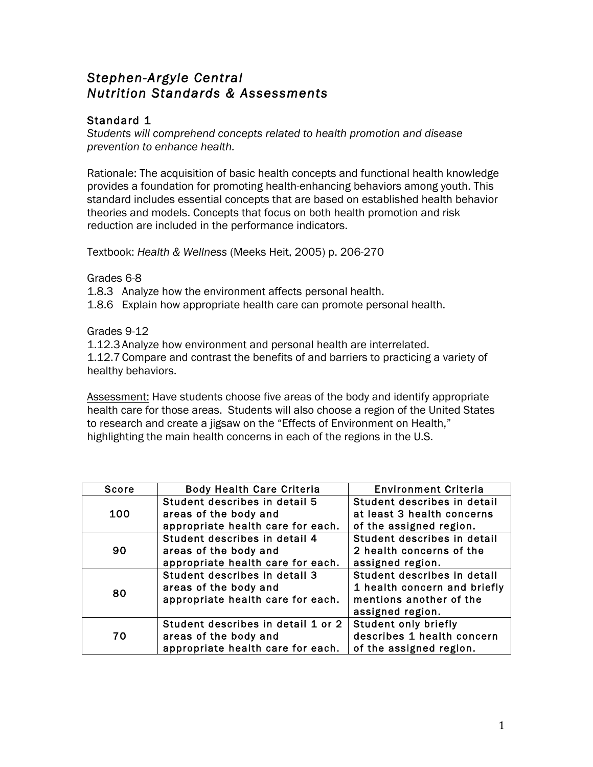# *Stephen-Argyle Central Nutrition Standards & Assessments*

## Standard 1

*Students will comprehend concepts related to health promotion and disease prevention to enhance health.* 

Rationale: The acquisition of basic health concepts and functional health knowledge provides a foundation for promoting health-enhancing behaviors among youth. This standard includes essential concepts that are based on established health behavior theories and models. Concepts that focus on both health promotion and risk reduction are included in the performance indicators.

Textbook: *Health & Wellness* (Meeks Heit, 2005) p. 206-270

Grades 6-8

1.8.3 Analyze how the environment affects personal health.

1.8.6 Explain how appropriate health care can promote personal health.

Grades 9-12

1.12.3 Analyze how environment and personal health are interrelated. 1.12.7 Compare and contrast the benefits of and barriers to practicing a variety of healthy behaviors.

Assessment: Have students choose five areas of the body and identify appropriate health care for those areas. Students will also choose a region of the United States to research and create a jigsaw on the "Effects of Environment on Health," highlighting the main health concerns in each of the regions in the U.S.

| Score | <b>Body Health Care Criteria</b>   | <b>Environment Criteria</b>  |
|-------|------------------------------------|------------------------------|
|       | Student describes in detail 5      | Student describes in detail  |
| 100   | areas of the body and              | at least 3 health concerns   |
|       | appropriate health care for each.  | of the assigned region.      |
|       | Student describes in detail 4      | Student describes in detail  |
| 90    | areas of the body and              | 2 health concerns of the     |
|       | appropriate health care for each.  | assigned region.             |
|       | Student describes in detail 3      | Student describes in detail  |
| 80    | areas of the body and              | 1 health concern and briefly |
|       | appropriate health care for each.  | mentions another of the      |
|       |                                    | assigned region.             |
| 70    | Student describes in detail 1 or 2 | <b>Student only briefly</b>  |
|       | areas of the body and              | describes 1 health concern   |
|       | appropriate health care for each.  | of the assigned region.      |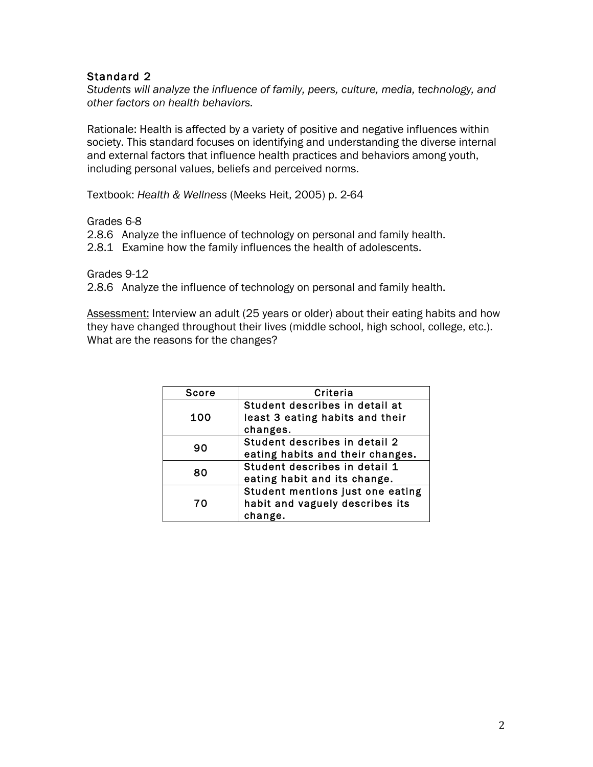*Students will analyze the influence of family, peers, culture, media, technology, and other factors on health behaviors.* 

Rationale: Health is affected by a variety of positive and negative influences within society. This standard focuses on identifying and understanding the diverse internal and external factors that influence health practices and behaviors among youth, including personal values, beliefs and perceived norms.

Textbook: *Health & Wellness* (Meeks Heit, 2005) p. 2-64

Grades 6-8

2.8.6 Analyze the influence of technology on personal and family health.

2.8.1 Examine how the family influences the health of adolescents.

Grades 9-12 2.8.6 Analyze the influence of technology on personal and family health.

Assessment: Interview an adult (25 years or older) about their eating habits and how they have changed throughout their lives (middle school, high school, college, etc.). What are the reasons for the changes?

| <b>Score</b> | Criteria                                                                       |
|--------------|--------------------------------------------------------------------------------|
| 100          | Student describes in detail at<br>least 3 eating habits and their<br>changes.  |
| 90           | Student describes in detail 2<br>eating habits and their changes.              |
| 80           | Student describes in detail 1<br>eating habit and its change.                  |
| 70           | Student mentions just one eating<br>habit and vaguely describes its<br>change. |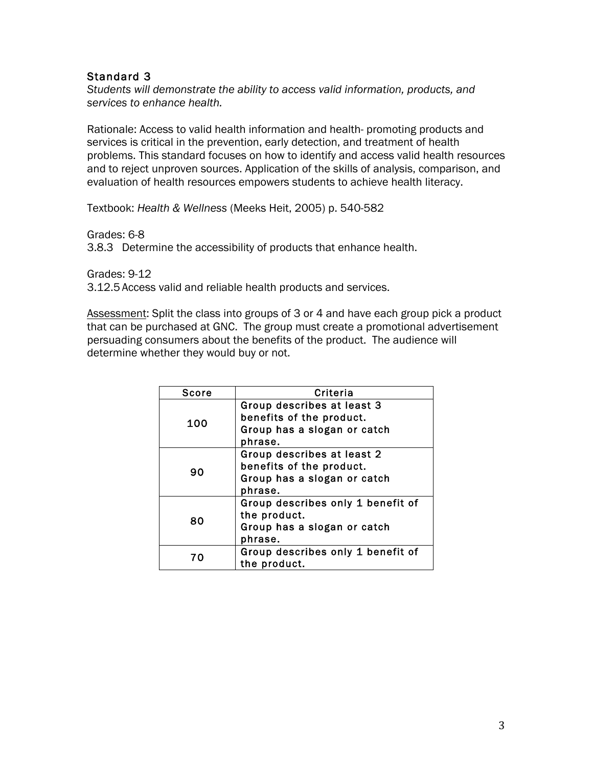*Students will demonstrate the ability to access valid information, products, and services to enhance health.* 

Rationale: Access to valid health information and health- promoting products and services is critical in the prevention, early detection, and treatment of health problems. This standard focuses on how to identify and access valid health resources and to reject unproven sources. Application of the skills of analysis, comparison, and evaluation of health resources empowers students to achieve health literacy.

Textbook: *Health & Wellness* (Meeks Heit, 2005) p. 540-582

Grades: 6-8

3.8.3 Determine the accessibility of products that enhance health.

Grades: 9-12 3.12.5 Access valid and reliable health products and services.

Assessment: Split the class into groups of 3 or 4 and have each group pick a product that can be purchased at GNC. The group must create a promotional advertisement persuading consumers about the benefits of the product. The audience will determine whether they would buy or not.

| Score | Criteria                          |
|-------|-----------------------------------|
|       | Group describes at least 3        |
| 100   | benefits of the product.          |
|       | Group has a slogan or catch       |
|       | phrase.                           |
|       | Group describes at least 2        |
| 90    | benefits of the product.          |
|       | Group has a slogan or catch       |
|       | phrase.                           |
|       | Group describes only 1 benefit of |
|       | the product.                      |
| 80    | Group has a slogan or catch       |
|       | phrase.                           |
| 70    | Group describes only 1 benefit of |
|       | the product.                      |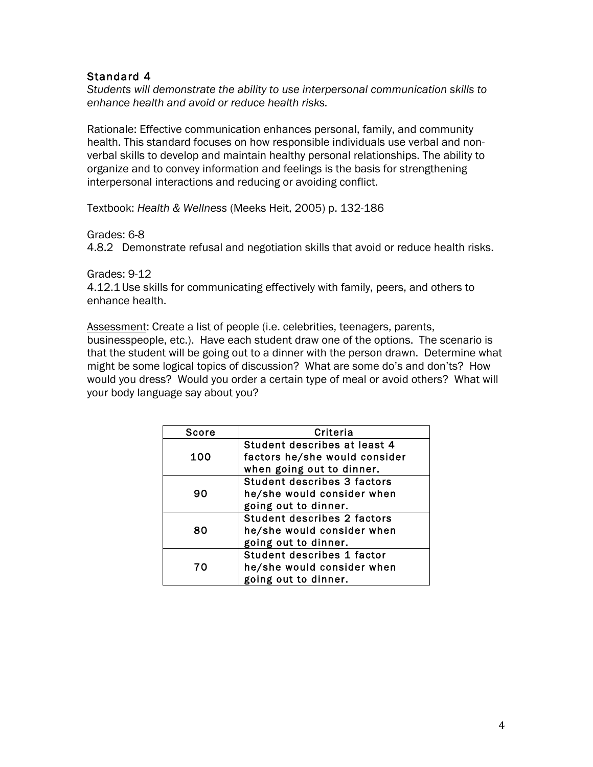*Students will demonstrate the ability to use interpersonal communication skills to enhance health and avoid or reduce health risks.* 

Rationale: Effective communication enhances personal, family, and community health. This standard focuses on how responsible individuals use verbal and nonverbal skills to develop and maintain healthy personal relationships. The ability to organize and to convey information and feelings is the basis for strengthening interpersonal interactions and reducing or avoiding conflict.

Textbook: *Health & Wellness* (Meeks Heit, 2005) p. 132-186

Grades: 6-8

4.8.2 Demonstrate refusal and negotiation skills that avoid or reduce health risks.

Grades: 9-12 4.12.1 Use skills for communicating effectively with family, peers, and others to enhance health.

Assessment: Create a list of people (i.e. celebrities, teenagers, parents, businesspeople, etc.). Have each student draw one of the options. The scenario is that the student will be going out to a dinner with the person drawn. Determine what might be some logical topics of discussion? What are some do's and don'ts? How would you dress? Would you order a certain type of meal or avoid others? What will your body language say about you?

| Score | Criteria                           |
|-------|------------------------------------|
| 100   | Student describes at least 4       |
|       | factors he/she would consider      |
|       | when going out to dinner.          |
|       | <b>Student describes 3 factors</b> |
| 90    | he/she would consider when         |
|       | going out to dinner.               |
|       | <b>Student describes 2 factors</b> |
| 80    | he/she would consider when         |
|       | going out to dinner.               |
|       | Student describes 1 factor         |
| 70    | he/she would consider when         |
|       | going out to dinner.               |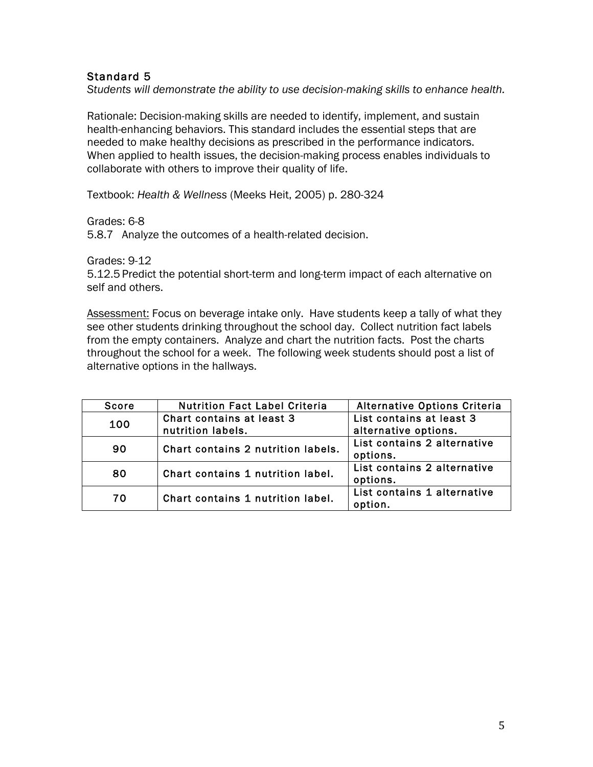*Students will demonstrate the ability to use decision-making skills to enhance health.* 

Rationale: Decision-making skills are needed to identify, implement, and sustain health-enhancing behaviors. This standard includes the essential steps that are needed to make healthy decisions as prescribed in the performance indicators. When applied to health issues, the decision-making process enables individuals to collaborate with others to improve their quality of life.

Textbook: *Health & Wellness* (Meeks Heit, 2005) p. 280-324

Grades: 6-8

5.8.7 Analyze the outcomes of a health-related decision.

Grades: 9-12

5.12.5 Predict the potential short-term and long-term impact of each alternative on self and others.

Assessment: Focus on beverage intake only. Have students keep a tally of what they see other students drinking throughout the school day. Collect nutrition fact labels from the empty containers. Analyze and chart the nutrition facts. Post the charts throughout the school for a week. The following week students should post a list of alternative options in the hallways.

| <b>Score</b> | <b>Nutrition Fact Label Criteria</b>           | <b>Alternative Options Criteria</b>              |
|--------------|------------------------------------------------|--------------------------------------------------|
| 100          | Chart contains at least 3<br>nutrition labels. | List contains at least 3<br>alternative options. |
|              |                                                | List contains 2 alternative                      |
| 90           | Chart contains 2 nutrition labels.             | options.                                         |
| 80           | Chart contains 1 nutrition label.              | List contains 2 alternative<br>options.          |
| 70           | Chart contains 1 nutrition label.              | List contains 1 alternative<br>option.           |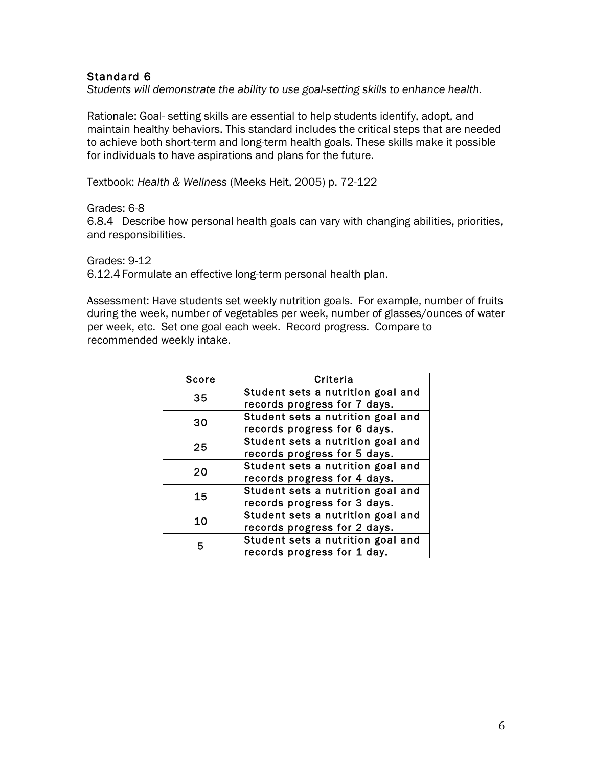*Students will demonstrate the ability to use goal-setting skills to enhance health.* 

Rationale: Goal- setting skills are essential to help students identify, adopt, and maintain healthy behaviors. This standard includes the critical steps that are needed to achieve both short-term and long-term health goals. These skills make it possible for individuals to have aspirations and plans for the future.

Textbook: *Health & Wellness* (Meeks Heit, 2005) p. 72-122

Grades: 6-8

6.8.4 Describe how personal health goals can vary with changing abilities, priorities, and responsibilities.

Grades: 9-12 6.12.4 Formulate an effective long-term personal health plan.

Assessment: Have students set weekly nutrition goals. For example, number of fruits during the week, number of vegetables per week, number of glasses/ounces of water per week, etc. Set one goal each week. Record progress. Compare to recommended weekly intake.

| <b>Score</b> | Criteria                          |
|--------------|-----------------------------------|
| 35           | Student sets a nutrition goal and |
|              | records progress for 7 days.      |
| 30           | Student sets a nutrition goal and |
|              | records progress for 6 days.      |
| 25           | Student sets a nutrition goal and |
|              | records progress for 5 days.      |
| 20           | Student sets a nutrition goal and |
|              | records progress for 4 days.      |
| 15           | Student sets a nutrition goal and |
|              | records progress for 3 days.      |
| 10           | Student sets a nutrition goal and |
|              | records progress for 2 days.      |
|              | Student sets a nutrition goal and |
|              | records progress for 1 day.       |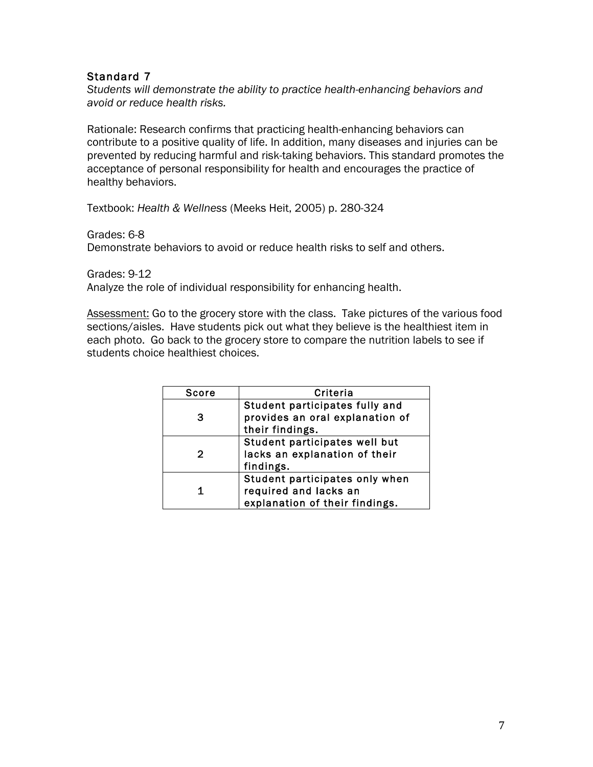*Students will demonstrate the ability to practice health-enhancing behaviors and avoid or reduce health risks.* 

Rationale: Research confirms that practicing health-enhancing behaviors can contribute to a positive quality of life. In addition, many diseases and injuries can be prevented by reducing harmful and risk-taking behaviors. This standard promotes the acceptance of personal responsibility for health and encourages the practice of healthy behaviors.

Textbook: *Health & Wellness* (Meeks Heit, 2005) p. 280-324

Grades: 6-8

Demonstrate behaviors to avoid or reduce health risks to self and others.

Grades: 9-12 Analyze the role of individual responsibility for enhancing health.

Assessment: Go to the grocery store with the class. Take pictures of the various food sections/aisles. Have students pick out what they believe is the healthiest item in each photo. Go back to the grocery store to compare the nutrition labels to see if students choice healthiest choices.

| <b>Score</b> | Criteria                                                                                  |
|--------------|-------------------------------------------------------------------------------------------|
| З            | Student participates fully and<br>provides an oral explanation of<br>their findings.      |
| 2            | Student participates well but<br>lacks an explanation of their<br>findings.               |
| 1            | Student participates only when<br>required and lacks an<br>explanation of their findings. |